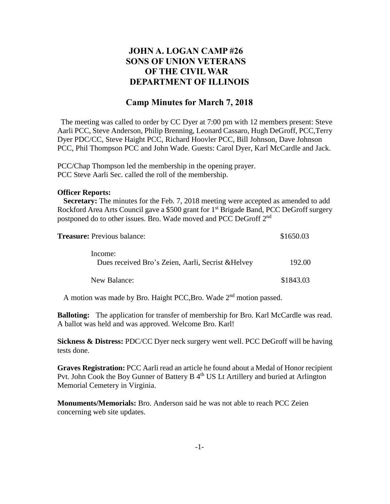## **JOHN A. LOGAN CAMP #26 SONS OF UNION VETERANS OF THE CIVIL WAR DEPARTMENT OF ILLINOIS**

## **Camp Minutes for March 7, 2018**

The meeting was called to order by CC Dyer at 7:00 pm with 12 members present: Steve Aarli PCC, Steve Anderson, Philip Brenning, Leonard Cassaro, Hugh DeGroff, PCC,Terry Dyer PDC/CC, Steve Haight PCC, Richard Hoovler PCC, Bill Johnson, Dave Johnson PCC, Phil Thompson PCC and John Wade. Guests: Carol Dyer, Karl McCardle and Jack.

PCC/Chap Thompson led the membership in the opening prayer. PCC Steve Aarli Sec. called the roll of the membership.

## **Officer Reports:**

 **Secretary:** The minutes for the Feb. 7, 2018 meeting were accepted as amended to add Rockford Area Arts Council gave a \$500 grant for 1<sup>st</sup> Brigade Band, PCC DeGroff surgery postponed do to other issues. Bro. Wade moved and PCC DeGroff 2<sup>nd</sup>

| <b>Treasure:</b> Previous balance:                            | \$1650.03 |
|---------------------------------------------------------------|-----------|
| Income:<br>Dues received Bro's Zeien, Aarli, Secrist & Helvey | 192.00    |
| New Balance:                                                  | \$1843.03 |

A motion was made by Bro. Haight PCC, Bro. Wade 2<sup>nd</sup> motion passed.

**Balloting:** The application for transfer of membership for Bro. Karl McCardle was read. A ballot was held and was approved. Welcome Bro. Karl!

**Sickness & Distress:** PDC/CC Dyer neck surgery went well. PCC DeGroff will be having tests done.

**Graves Registration:** PCC Aarli read an article he found about a Medal of Honor recipient Pvt. John Cook the Boy Gunner of Battery B 4<sup>th</sup> US Lt Artillery and buried at Arlington Memorial Cemetery in Virginia.

**Monuments/Memorials:** Bro. Anderson said he was not able to reach PCC Zeien concerning web site updates.